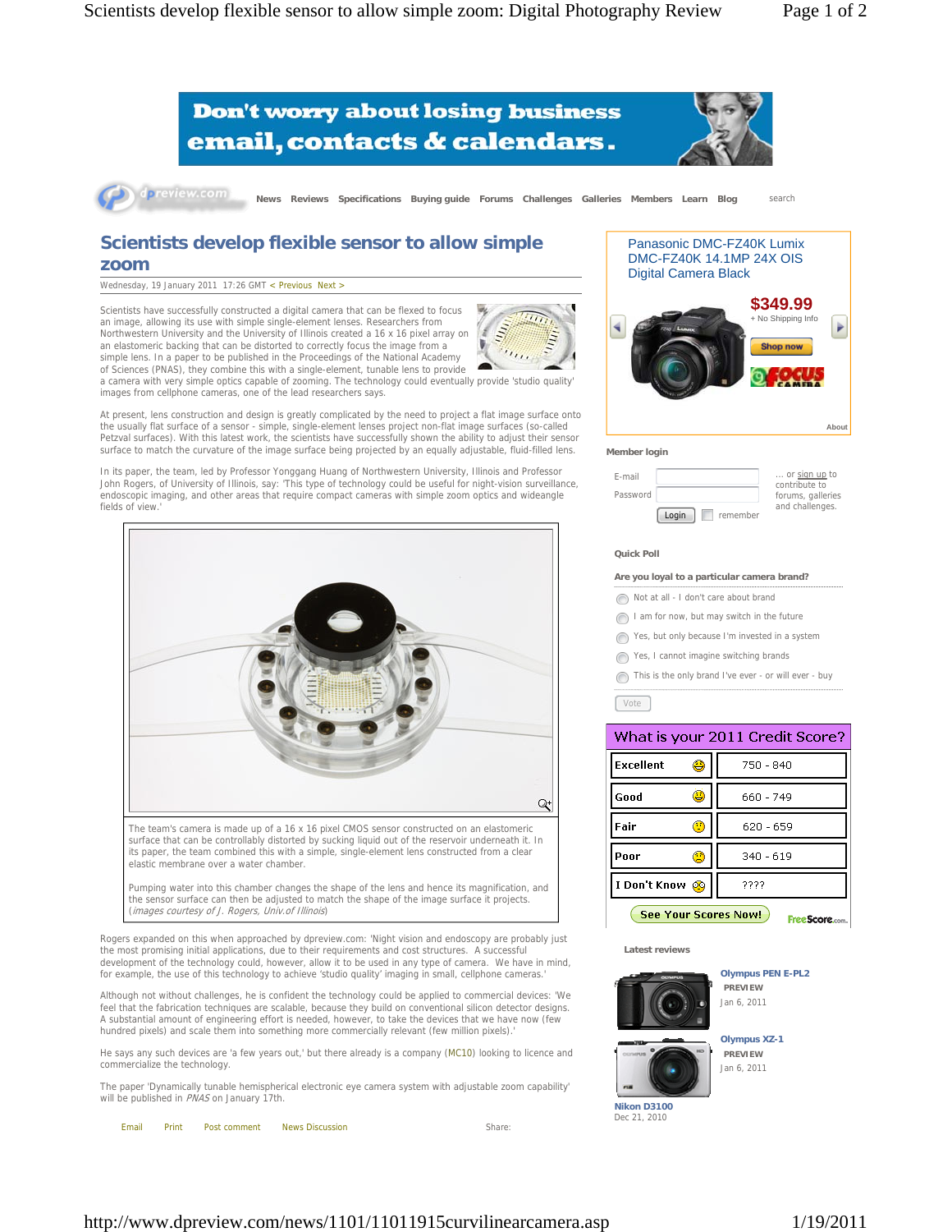



dpreview.com **News Reviews Specifications Buying guide Forums Challenges Galleries Members Learn Blog** search

## **Scientists develop flexible sensor to allow simple zoom**

Wednesday, 19 January 2011 17:26 GMT < Previous Next >

Scientists have successfully constructed a digital camera that can be flexed to focus an image, allowing its use with simple single-element lenses. Researchers from Northwestern University and the University of Illinois created a 16 x 16 pixel array on an elastomeric backing that can be distorted to correctly focus the image from a simple lens. In a paper to be published in the Proceedings of the National Academy of Sciences (PNAS), they combine this with a single-element, tunable lens to provide



a camera with very simple optics capable of zooming. The technology could eventually provide 'studio quality' images from cellphone cameras, one of the lead researchers says.

At present, lens construction and design is greatly complicated by the need to project a flat image surface onto the usually flat surface of a sensor - simple, single-element lenses project non-flat image surfaces (so-called Petzval surfaces). With this latest work, the scientists have successfully shown the ability to adjust their sensor surface to match the curvature of the image surface being projected by an equally adjustable, fluid-filled lens.

In its paper, the team, led by Professor Yonggang Huang of Northwestern University, Illinois and Professor John Rogers, of University of Illinois, say: 'This type of technology could be useful for night-vision surveillance, endoscopic imaging, and other areas that require compact cameras with simple zoom optics and wideangle fields of view.



The team's camera is made up of a 16 x 16 pixel CMOS sensor constructed on an elastomeric surface that can be controllably distorted by sucking liquid out of the reservoir underneath it. In its paper, the team combined this with a simple, single-element lens constructed from a clear elastic membrane over a water chamber.

Pumping water into this chamber changes the shape of the lens and hence its magnification, and the sensor surface can then be adjusted to match the shape of the image surface it projects. (images courtesy of J. Rogers, Univ.of Illinois)

Rogers expanded on this when approached by dpreview.com: 'Night vision and endoscopy are probably just the most promising initial applications, due to their requirements and cost structures. A successful development of the technology could, however, allow it to be used in any type of camera. We have in mind, for example, the use of this technology to achieve 'studio quality' imaging in small, cellphone cameras.'

Although not without challenges, he is confident the technology could be applied to commercial devices: 'We feel that the fabrication techniques are scalable, because they build on conventional silicon detector designs. A substantial amount of engineering effort is needed, however, to take the devices that we have now (few hundred pixels) and scale them into something more commercially relevant (few million pixels).

He says any such devices are 'a few years out,' but there already is a company (MC10) looking to licence and commercialize the technology.

The paper 'Dynamically tunable hemispherical electronic eye camera system with adjustable zoom capability' will be published in PNAS on January 17th.



# Panasonic DMC-FZ40K Lumix DMC-FZ40K 14.1MP 24X OIS Digital Camera Black **\$349.99** No Shipping Info



### **Member login**



## **Quick Poll**

### **Are you loyal to a particular camera brand?**

- Not at all I don't care about brand
- I am for now, but may switch in the future
- Yes, but only because I'm invested in a system
- Yes, I cannot imagine switching brands
- This is the only brand I've ever or will ever buy

Vote Vote

| What is your 2011 Credit Score?                |             |  |
|------------------------------------------------|-------------|--|
| <b>Excellent</b><br>0                          | 750 - 840   |  |
| Good<br>υ                                      | 660 - 749   |  |
| Fair<br>◉                                      | 620 - 659   |  |
| Poor<br>20                                     | $340 - 619$ |  |
| I Don't Know @                                 | ????        |  |
| <b>See Your Scores Now!</b><br>Free Score.com. |             |  |

#### **Latest reviews**



**Nikon D3100** Dec 21, 2010

**Olympus PEN E-PL2 PREVIEW** Jan 6, 2011



**Olympus XZ-1**